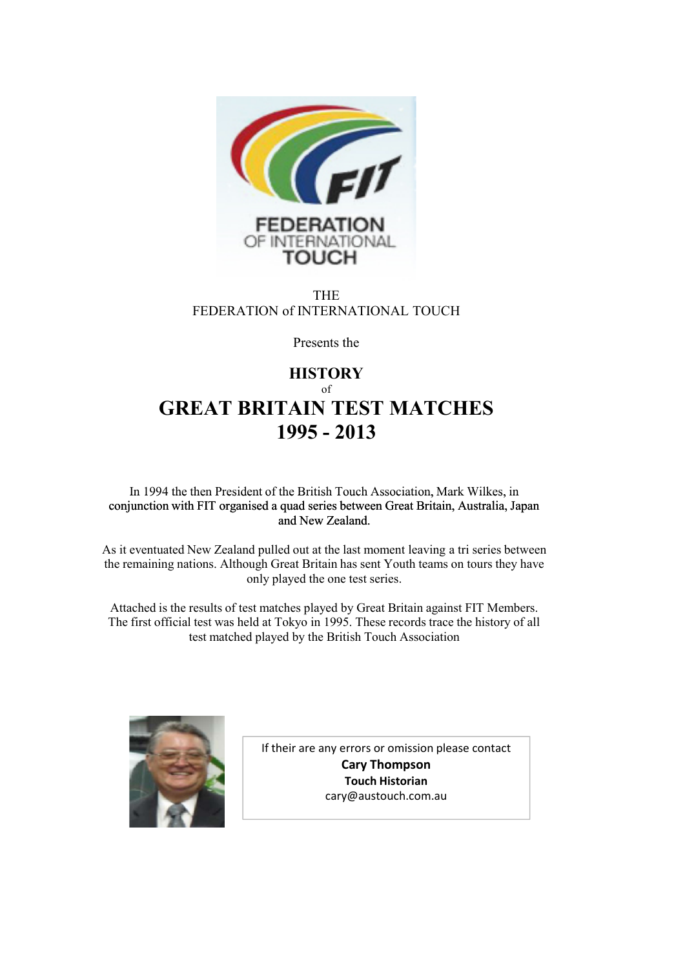

THE FEDERATION of INTERNATIONAL TOUCH

Presents the

## **HISTORY** of **GREAT BRITAIN TEST MATCHES 1995 - 2013**

In 1994 the then President of the British Touch Association, Mark Wilkes, in conjunction with FIT organised a quad series between Great Britain, Australia, Japan and New Zealand.

As it eventuated New Zealand pulled out at the last moment leaving a tri series between the remaining nations. Although Great Britain has sent Youth teams on tours they have only played the one test series.

Attached is the results of test matches played by Great Britain against FIT Members. The first official test was held at Tokyo in 1995. These records trace the history of all test matched played by the British Touch Association



If their are any errors or omission please contact **Cary Thompson Touch Historian** cary@austouch.com.au